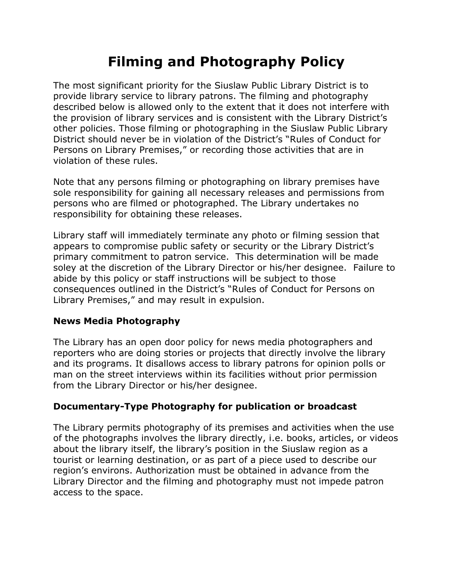# **Filming and Photography Policy**

The most significant priority for the Siuslaw Public Library District is to provide library service to library patrons. The filming and photography described below is allowed only to the extent that it does not interfere with the provision of library services and is consistent with the Library District's other policies. Those filming or photographing in the Siuslaw Public Library District should never be in violation of the District's "Rules of Conduct for Persons on Library Premises," or recording those activities that are in violation of these rules.

Note that any persons filming or photographing on library premises have sole responsibility for gaining all necessary releases and permissions from persons who are filmed or photographed. The Library undertakes no responsibility for obtaining these releases.

Library staff will immediately terminate any photo or filming session that appears to compromise public safety or security or the Library District's primary commitment to patron service. This determination will be made soley at the discretion of the Library Director or his/her designee. Failure to abide by this policy or staff instructions will be subject to those consequences outlined in the District's "Rules of Conduct for Persons on Library Premises," and may result in expulsion.

#### **News Media Photography**

The Library has an open door policy for news media photographers and reporters who are doing stories or projects that directly involve the library and its programs. It disallows access to library patrons for opinion polls or man on the street interviews within its facilities without prior permission from the Library Director or his/her designee.

# **Documentary-Type Photography for publication or broadcast**

The Library permits photography of its premises and activities when the use of the photographs involves the library directly, i.e. books, articles, or videos about the library itself, the library's position in the Siuslaw region as a tourist or learning destination, or as part of a piece used to describe our region's environs. Authorization must be obtained in advance from the Library Director and the filming and photography must not impede patron access to the space.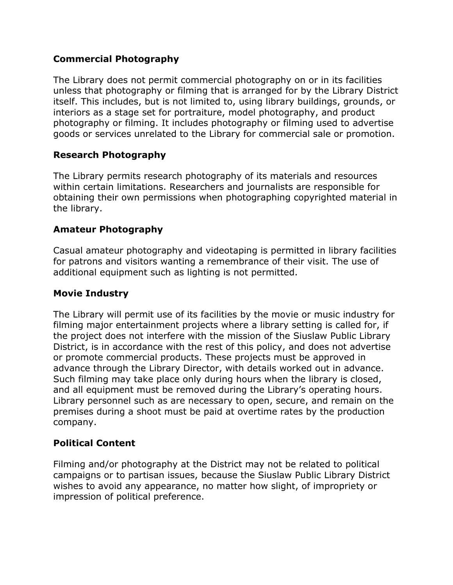# **Commercial Photography**

The Library does not permit commercial photography on or in its facilities unless that photography or filming that is arranged for by the Library District itself. This includes, but is not limited to, using library buildings, grounds, or interiors as a stage set for portraiture, model photography, and product photography or filming. It includes photography or filming used to advertise goods or services unrelated to the Library for commercial sale or promotion.

## **Research Photography**

The Library permits research photography of its materials and resources within certain limitations. Researchers and journalists are responsible for obtaining their own permissions when photographing copyrighted material in the library.

## **Amateur Photography**

Casual amateur photography and videotaping is permitted in library facilities for patrons and visitors wanting a remembrance of their visit. The use of additional equipment such as lighting is not permitted.

# **Movie Industry**

The Library will permit use of its facilities by the movie or music industry for filming major entertainment projects where a library setting is called for, if the project does not interfere with the mission of the Siuslaw Public Library District, is in accordance with the rest of this policy, and does not advertise or promote commercial products. These projects must be approved in advance through the Library Director, with details worked out in advance. Such filming may take place only during hours when the library is closed, and all equipment must be removed during the Library's operating hours. Library personnel such as are necessary to open, secure, and remain on the premises during a shoot must be paid at overtime rates by the production company.

# **Political Content**

Filming and/or photography at the District may not be related to political campaigns or to partisan issues, because the Siuslaw Public Library District wishes to avoid any appearance, no matter how slight, of impropriety or impression of political preference.